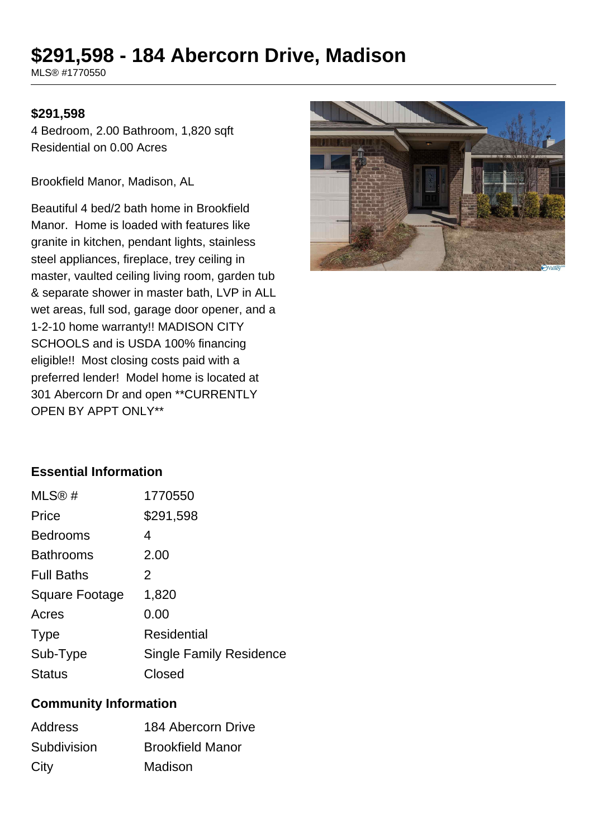# **\$291,598 - 184 Abercorn Drive, Madison**

MLS® #1770550

### **\$291,598**

4 Bedroom, 2.00 Bathroom, 1,820 sqft Residential on 0.00 Acres

Brookfield Manor, Madison, AL

Beautiful 4 bed/2 bath home in Brookfield Manor. Home is loaded with features like granite in kitchen, pendant lights, stainless steel appliances, fireplace, trey ceiling in master, vaulted ceiling living room, garden tub & separate shower in master bath, LVP in ALL wet areas, full sod, garage door opener, and a 1-2-10 home warranty!! MADISON CITY SCHOOLS and is USDA 100% financing eligible!! Most closing costs paid with a preferred lender! Model home is located at 301 Abercorn Dr and open \*\*CURRENTLY OPEN BY APPT ONLY\*\*



# **Essential Information**

| MLS@#                 | 1770550                        |
|-----------------------|--------------------------------|
| Price                 | \$291,598                      |
| <b>Bedrooms</b>       | 4                              |
| <b>Bathrooms</b>      | 2.00                           |
| <b>Full Baths</b>     | 2                              |
| <b>Square Footage</b> | 1,820                          |
| Acres                 | 0.00                           |
| <b>Type</b>           | <b>Residential</b>             |
| Sub-Type              | <b>Single Family Residence</b> |
| <b>Status</b>         | Closed                         |

#### **Community Information**

| <b>Address</b> | 184 Abercorn Drive      |
|----------------|-------------------------|
| Subdivision    | <b>Brookfield Manor</b> |
| City           | Madison                 |